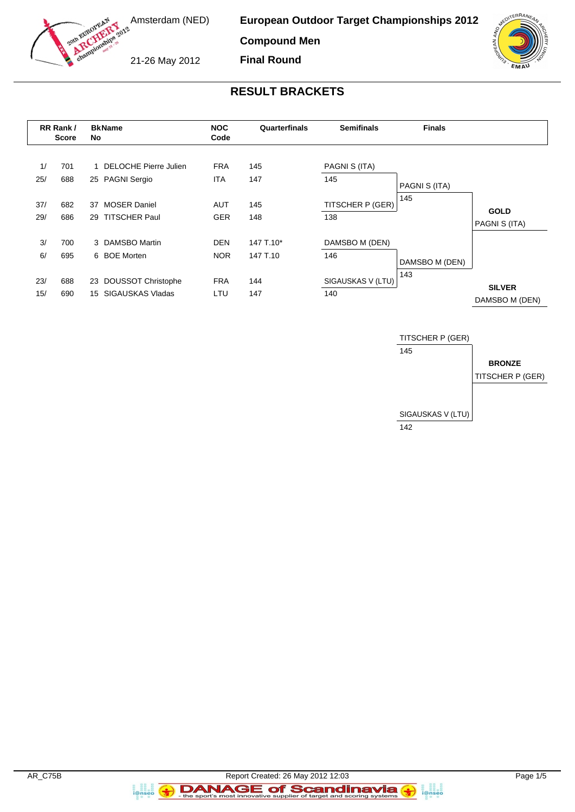

**European Outdoor Target Championships 2012**

**Compound Men**

21-26 May 2012

**Final Round**



# **RESULT BRACKETS**

| RR Rank /<br><b>Score</b> |            | <b>BkName</b><br>No |                                            | <b>NOC</b><br>Code       |            | Quarterfinals        | <b>Semifinals</b> | <b>Finals</b>                   |  |
|---------------------------|------------|---------------------|--------------------------------------------|--------------------------|------------|----------------------|-------------------|---------------------------------|--|
| 1/<br>25/                 | 701<br>688 |                     | 1 DELOCHE Pierre Julien<br>25 PAGNI Sergio | <b>FRA</b><br><b>ITA</b> | 145<br>147 | PAGNI S (ITA)<br>145 | PAGNI S (ITA)     |                                 |  |
| 37/                       | 682        | 37                  | <b>MOSER Daniel</b>                        | <b>AUT</b>               | 145        | TITSCHER P (GER)     | 145               | <b>GOLD</b>                     |  |
| 29/                       | 686        | 29                  | <b>TITSCHER Paul</b>                       | <b>GER</b>               | 148        | 138                  |                   | PAGNI S (ITA)                   |  |
| 3/                        | 700        |                     | 3 DAMSBO Martin                            | <b>DEN</b>               | 147 T.10*  | DAMSBO M (DEN)       |                   |                                 |  |
| 6/                        | 695        |                     | 6 BOE Morten                               | <b>NOR</b>               | 147 T.10   | 146                  | DAMSBO M (DEN)    |                                 |  |
| 23/                       | 688        | 23                  | <b>DOUSSOT Christophe</b>                  | <b>FRA</b>               | 144        | SIGAUSKAS V (LTU)    | 143               |                                 |  |
| 15/                       | 690        | 15                  | SIGAUSKAS Vladas                           | LTU                      | 147        | 140                  |                   | <b>SILVER</b><br>DAMSBO M (DEN) |  |



a ana an<br>i@nseo

a anglica<br>i@nseo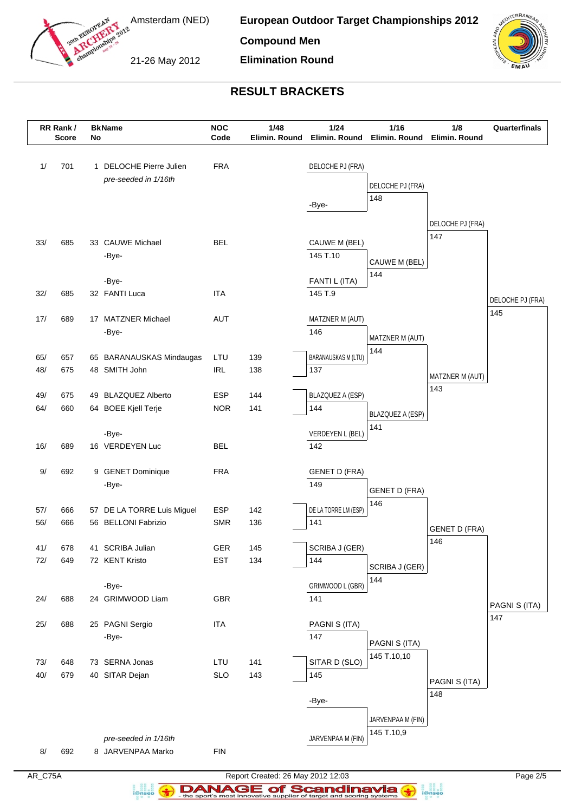

Amsterdam (NED)

**European Outdoor Target Championships 2012**

**Compound Men**

21-26 May 2012

**Elimination Round**



# **RESULT BRACKETS**

|       | RR Rank /<br><b>Score</b> | No | <b>BkName</b>              | <b>NOC</b><br>Code | 1/48<br>Elimin. Round | 1/24<br>Elimin. Round      | 1/16<br>Elimin. Round           | 1/8<br>Elimin. Round    | Quarterfinals           |
|-------|---------------------------|----|----------------------------|--------------------|-----------------------|----------------------------|---------------------------------|-------------------------|-------------------------|
| 1/    | 701                       |    | 1 DELOCHE Pierre Julien    | <b>FRA</b>         |                       | DELOCHE PJ (FRA)           |                                 |                         |                         |
|       |                           |    | pre-seeded in 1/16th       |                    |                       |                            | DELOCHE PJ (FRA)                |                         |                         |
|       |                           |    |                            |                    |                       | -Bye-                      | 148                             |                         |                         |
|       |                           |    |                            |                    |                       |                            |                                 |                         |                         |
|       |                           |    |                            |                    |                       |                            |                                 | DELOCHE PJ (FRA)<br>147 |                         |
| 33/   | 685                       |    | 33 CAUWE Michael           | <b>BEL</b>         |                       | CAUWE M (BEL)              |                                 |                         |                         |
|       |                           |    | -Bye-                      |                    |                       | 145 T.10                   | CAUWE M (BEL)                   |                         |                         |
|       |                           |    | -Bye-                      |                    |                       | FANTI L (ITA)              | 144                             |                         |                         |
| 32/   | 685                       |    | 32 FANTI Luca              | <b>ITA</b>         |                       | 145 T.9                    |                                 |                         |                         |
|       |                           |    |                            |                    |                       |                            |                                 |                         | DELOCHE PJ (FRA)<br>145 |
| 17/   | 689                       |    | 17 MATZNER Michael         | AUT                |                       | MATZNER M (AUT)            |                                 |                         |                         |
|       |                           |    | -Bye-                      |                    |                       | 146                        | MATZNER M (AUT)                 |                         |                         |
| 65/   | 657                       |    | 65 BARANAUSKAS Mindaugas   | LTU                | 139                   | <b>BARANAUSKAS M (LTU)</b> | 144                             |                         |                         |
| 48/   | 675                       |    | 48 SMITH John              | <b>IRL</b>         | 138                   | 137                        |                                 |                         |                         |
|       |                           |    |                            |                    |                       |                            |                                 | MATZNER M (AUT)<br>143  |                         |
| 49/   | 675                       |    | 49 BLAZQUEZ Alberto        | <b>ESP</b>         | 144                   | BLAZQUEZ A (ESP)           |                                 |                         |                         |
| 64/   | 660                       |    | 64 BOEE Kjell Terje        | <b>NOR</b>         | 141                   | 144                        | BLAZQUEZ A (ESP)                |                         |                         |
|       |                           |    | -Bye-                      |                    |                       | VERDEYEN L (BEL)           | 141                             |                         |                         |
| 16/   | 689                       |    | 16 VERDEYEN Luc            | <b>BEL</b>         |                       | 142                        |                                 |                         |                         |
|       |                           |    |                            |                    |                       |                            |                                 |                         |                         |
| 9/    | 692                       |    | 9 GENET Dominique          | <b>FRA</b>         |                       | <b>GENET D (FRA)</b>       |                                 |                         |                         |
|       |                           |    | -Bye-                      |                    |                       | 149                        | <b>GENET D (FRA)</b>            |                         |                         |
| 57/   | 666                       |    | 57 DE LA TORRE Luis Miguel | <b>ESP</b>         | 142                   | DE LA TORRE LM (ESP)       | 146                             |                         |                         |
| 56/   | 666                       |    | 56 BELLONI Fabrizio        | <b>SMR</b>         | 136                   | 141                        |                                 |                         |                         |
|       |                           |    |                            |                    |                       |                            |                                 | <b>GENET D (FRA)</b>    |                         |
| 41/   | 678                       |    | 41 SCRIBA Julian           | GER                | 145                   | SCRIBA J (GER)             |                                 | 146                     |                         |
| 72/   | 649                       |    | 72 KENT Kristo             | <b>EST</b>         | 134                   | 144                        | SCRIBA J (GER)                  |                         |                         |
|       |                           |    |                            |                    |                       |                            | 144                             |                         |                         |
| 24/   | 688                       |    | -Bye-<br>24 GRIMWOOD Liam  | GBR                |                       | GRIMWOOD L (GBR)<br>141    |                                 |                         |                         |
|       |                           |    |                            |                    |                       |                            |                                 |                         | PAGNI S (ITA)           |
| $25/$ | 688                       |    | 25 PAGNI Sergio            | <b>ITA</b>         |                       | PAGNI S (ITA)              |                                 |                         | 147                     |
|       |                           |    | -Bye-                      |                    |                       | 147                        | PAGNI S (ITA)                   |                         |                         |
|       |                           |    |                            |                    |                       |                            | 145 T.10,10                     |                         |                         |
| $73/$ | 648                       |    | 73 SERNA Jonas             | LTU                | 141                   | SITAR D (SLO)              |                                 |                         |                         |
| 40/   | 679                       |    | 40 SITAR Dejan             | <b>SLO</b>         | 143                   | 145                        |                                 | PAGNI S (ITA)           |                         |
|       |                           |    |                            |                    |                       | -Bye-                      |                                 | 148                     |                         |
|       |                           |    |                            |                    |                       |                            |                                 |                         |                         |
|       |                           |    |                            |                    |                       |                            | JARVENPAA M (FIN)<br>145 T.10,9 |                         |                         |
|       |                           |    | pre-seeded in 1/16th       |                    |                       | JARVENPAA M (FIN)          |                                 |                         |                         |
| 8/    | 692                       |    | 8 JARVENPAA Marko          | <b>FIN</b>         |                       |                            |                                 |                         |                         |

AR\_C75A Report Created: 26 May 2012 12:03 Page 2/5 **DANAGE of Scandinavia** 

a analis<br>i@nseo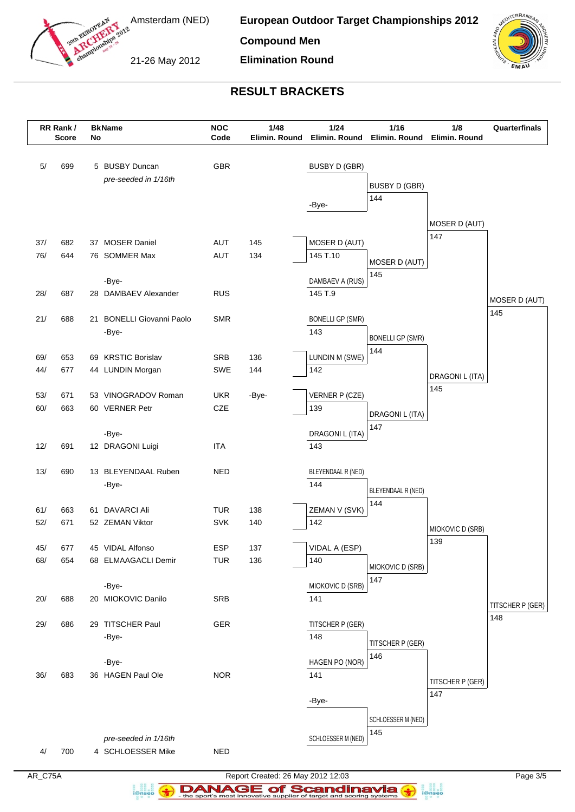

**European Outdoor Target Championships 2012**

**Compound Men**

21-26 May 2012



# **RESULT BRACKETS**

**Elimination Round**

|            | RR Rank /<br><b>Score</b> | No | <b>BkName</b>                             | <b>NOC</b><br>Code       | 1/48<br>Elimin. Round | 1/24<br>Elimin. Round     | 1/16<br>Elimin. Round   | 1/8<br>Elimin. Round    | Quarterfinals    |
|------------|---------------------------|----|-------------------------------------------|--------------------------|-----------------------|---------------------------|-------------------------|-------------------------|------------------|
| $5/$       | 699                       |    | 5 BUSBY Duncan                            | <b>GBR</b>               |                       | <b>BUSBY D (GBR)</b>      |                         |                         |                  |
|            |                           |    | pre-seeded in 1/16th                      |                          |                       |                           | <b>BUSBY D (GBR)</b>    |                         |                  |
|            |                           |    |                                           |                          |                       |                           | 144                     |                         |                  |
|            |                           |    |                                           |                          |                       | -Bye-                     |                         |                         |                  |
|            |                           |    |                                           |                          |                       |                           |                         | MOSER D (AUT)           |                  |
| 37/        | 682                       |    | 37 MOSER Daniel                           | <b>AUT</b>               | 145                   | MOSER D (AUT)             |                         | 147                     |                  |
| 76/        | 644                       |    | 76 SOMMER Max                             | AUT                      | 134                   | 145 T.10                  |                         |                         |                  |
|            |                           |    |                                           |                          |                       |                           | MOSER D (AUT)           |                         |                  |
|            |                           |    | -Bye-                                     |                          |                       | DAMBAEV A (RUS)           | 145                     |                         |                  |
| 28/        | 687                       |    | 28 DAMBAEV Alexander                      | <b>RUS</b>               |                       | 145 T.9                   |                         |                         | MOSER D (AUT)    |
|            |                           |    |                                           |                          |                       |                           |                         |                         | 145              |
| 21/        | 688                       | 21 | <b>BONELLI Giovanni Paolo</b>             | <b>SMR</b>               |                       | <b>BONELLI GP (SMR)</b>   |                         |                         |                  |
|            |                           |    | -Bye-                                     |                          |                       | 143                       | <b>BONELLI GP (SMR)</b> |                         |                  |
|            |                           |    |                                           |                          |                       |                           | 144                     |                         |                  |
| 69/<br>44/ | 653<br>677                |    | 69 KRSTIC Borislav<br>44 LUNDIN Morgan    | <b>SRB</b><br><b>SWE</b> | 136<br>144            | LUNDIN M (SWE)<br>142     |                         |                         |                  |
|            |                           |    |                                           |                          |                       |                           |                         | DRAGONI L (ITA)         |                  |
| 53/        | 671                       |    | 53 VINOGRADOV Roman                       | <b>UKR</b>               | -Bye-                 | VERNER P (CZE)            |                         | 145                     |                  |
| 60/        | 663                       |    | 60 VERNER Petr                            | <b>CZE</b>               |                       | 139                       |                         |                         |                  |
|            |                           |    |                                           |                          |                       |                           | DRAGONI L (ITA)<br>147  |                         |                  |
|            |                           |    | -Bye-                                     |                          |                       | DRAGONI L (ITA)           |                         |                         |                  |
| 12/        | 691                       |    | 12 DRAGONI Luigi                          | <b>ITA</b>               |                       | 143                       |                         |                         |                  |
|            |                           |    |                                           |                          |                       |                           |                         |                         |                  |
| 13/        | 690                       |    | 13 BLEYENDAAL Ruben<br>-Bye-              | <b>NED</b>               |                       | BLEYENDAAL R (NED)<br>144 |                         |                         |                  |
|            |                           |    |                                           |                          |                       |                           | BLEYENDAAL R (NED)      |                         |                  |
| 61/        | 663                       | 61 | <b>DAVARCI Ali</b>                        | <b>TUR</b>               | 138                   | ZEMAN V (SVK)             | 144                     |                         |                  |
| 52/        | 671                       |    | 52 ZEMAN Viktor                           | <b>SVK</b>               | 140                   | 142                       |                         |                         |                  |
|            |                           |    |                                           |                          |                       |                           |                         | MIOKOVIC D (SRB)<br>139 |                  |
| 45/        | 677                       |    | 45 VIDAL Alfonso                          | <b>ESP</b>               | 137                   | VIDAL A (ESP)             |                         |                         |                  |
| 68/        | 654                       |    | 68 ELMAAGACLI Demir                       | <b>TUR</b>               | 136                   | 140                       | MIOKOVIC D (SRB)        |                         |                  |
|            |                           |    |                                           |                          |                       |                           | 147                     |                         |                  |
|            |                           |    | -Bye-                                     |                          |                       | MIOKOVIC D (SRB)          |                         |                         |                  |
| 20/        | 688                       |    | 20 MIOKOVIC Danilo                        | <b>SRB</b>               |                       | 141                       |                         |                         | TITSCHER P (GER) |
| 29/        | 686                       |    | 29 TITSCHER Paul                          | GER                      |                       | TITSCHER P (GER)          |                         |                         | 148              |
|            |                           |    | -Bye-                                     |                          |                       | 148                       |                         |                         |                  |
|            |                           |    |                                           |                          |                       |                           | TITSCHER P (GER)        |                         |                  |
|            |                           |    | -Bye-                                     |                          |                       | HAGEN PO (NOR)            | 146                     |                         |                  |
| 36/        | 683                       |    | 36 HAGEN Paul Ole                         | <b>NOR</b>               |                       | 141                       |                         | TITSCHER P (GER)        |                  |
|            |                           |    |                                           |                          |                       |                           |                         | 147                     |                  |
|            |                           |    |                                           |                          |                       | -Bye-                     |                         |                         |                  |
|            |                           |    |                                           |                          |                       |                           | SCHLOESSER M (NED)      |                         |                  |
|            |                           |    |                                           |                          |                       | SCHLOESSER M (NED)        | 145                     |                         |                  |
| 4/         | 700                       |    | pre-seeded in 1/16th<br>4 SCHLOESSER Mike | <b>NED</b>               |                       |                           |                         |                         |                  |
|            |                           |    |                                           |                          |                       |                           |                         |                         |                  |

a analis<br>i@nseo

AR\_C75A Report Created: 26 May 2012 12:03 Page 3/5 **DANAGE of Scandinavia**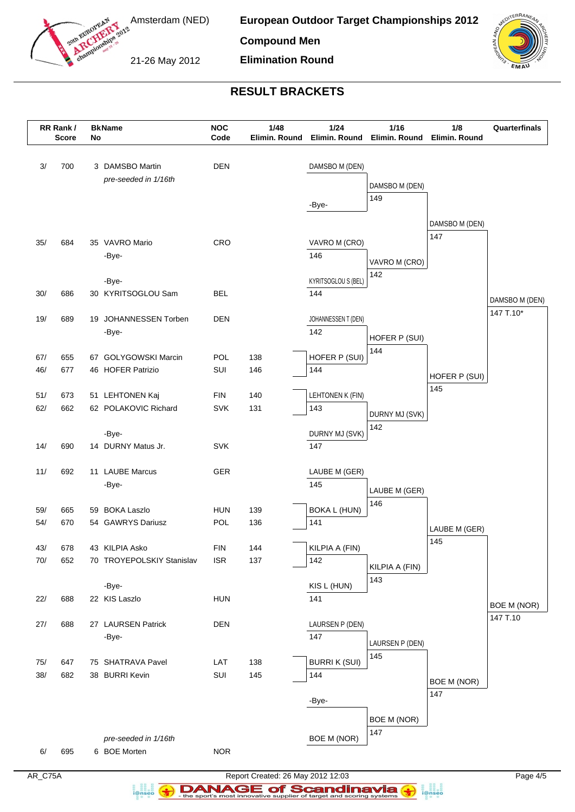

Amsterdam (NED)

**European Outdoor Target Championships 2012**

**Compound Men**

21-26 May 2012

**Elimination Round**



# **RESULT BRACKETS**

|       | RR Rank /<br><b>Score</b> | No | <b>BkName</b>                           | <b>NOC</b><br>Code | 1/48<br>Elimin. Round | $1/24$                     | 1/16<br>Elimin. Round Elimin. Round | 1/8<br>Elimin. Round | Quarterfinals      |
|-------|---------------------------|----|-----------------------------------------|--------------------|-----------------------|----------------------------|-------------------------------------|----------------------|--------------------|
| 3/    | 700                       |    | 3 DAMSBO Martin<br>pre-seeded in 1/16th | <b>DEN</b>         |                       | DAMSBO M (DEN)             | DAMSBO M (DEN)<br>149               |                      |                    |
|       |                           |    |                                         |                    |                       | -Bye-                      |                                     | DAMSBO M (DEN)       |                    |
| 35/   | 684                       |    | 35 VAVRO Mario                          | CRO                |                       | VAVRO M (CRO)              |                                     | 147                  |                    |
|       |                           |    | -Bye-                                   |                    |                       | 146                        | VAVRO M (CRO)<br>142                |                      |                    |
|       |                           |    | -Bye-                                   |                    |                       | <b>KYRITSOGLOU S (BEL)</b> |                                     |                      |                    |
| 30/   | 686                       |    | 30 KYRITSOGLOU Sam                      | <b>BEL</b>         |                       | 144                        |                                     |                      | DAMSBO M (DEN)     |
| 19/   | 689                       |    | 19 JOHANNESSEN Torben                   | <b>DEN</b>         |                       | JOHANNESSEN T (DEN)        |                                     |                      | 147 T.10*          |
|       |                           |    | -Bye-                                   |                    |                       | 142                        | HOFER P (SUI)                       |                      |                    |
| 67/   | 655                       |    | 67 GOLYGOWSKI Marcin                    | <b>POL</b>         | 138                   | HOFER P (SUI)              | 144                                 |                      |                    |
| 46/   | 677                       |    | 46 HOFER Patrizio                       | SUI                | 146                   | 144                        |                                     |                      |                    |
|       |                           |    |                                         |                    |                       |                            |                                     | HOFER P (SUI)<br>145 |                    |
| 51/   | 673                       |    | 51 LEHTONEN Kaj                         | <b>FIN</b>         | 140                   | LEHTONEN K (FIN)           |                                     |                      |                    |
| 62/   | 662                       |    | 62 POLAKOVIC Richard                    | <b>SVK</b>         | 131                   | 143                        | DURNY MJ (SVK)                      |                      |                    |
|       |                           |    | -Bye-                                   |                    |                       | DURNY MJ (SVK)             | 142                                 |                      |                    |
| 14/   | 690                       |    | 14 DURNY Matus Jr.                      | <b>SVK</b>         |                       | 147                        |                                     |                      |                    |
| 11/   | 692                       |    | 11 LAUBE Marcus                         | GER                |                       | LAUBE M (GER)              |                                     |                      |                    |
|       |                           |    | -Bye-                                   |                    |                       | 145                        |                                     |                      |                    |
|       |                           |    |                                         |                    |                       |                            | LAUBE M (GER)<br>146                |                      |                    |
| 59/   | 665                       |    | 59 BOKA Laszlo                          | <b>HUN</b>         | 139                   | <b>BOKA L (HUN)</b>        |                                     |                      |                    |
| 54/   | 670                       |    | 54 GAWRYS Dariusz                       | <b>POL</b>         | 136                   | 141                        |                                     | LAUBE M (GER)        |                    |
| 43/   | 678                       |    | 43 KILPIA Asko                          | <b>FIN</b>         | 144                   | KILPIA A (FIN)             |                                     | 145                  |                    |
| 70/   | 652                       |    | 70 TROYEPOLSKIY Stanislav               | <b>ISR</b>         | 137                   | 142                        | KILPIA A (FIN)                      |                      |                    |
|       |                           |    | -Bye-                                   |                    |                       | KIS L (HUN)                | 143                                 |                      |                    |
| 22/   | 688                       |    | 22 KIS Laszlo                           | <b>HUN</b>         |                       | 141                        |                                     |                      | <b>BOE M (NOR)</b> |
| $27/$ | 688                       |    | 27 LAURSEN Patrick                      | DEN                |                       | LAURSEN P (DEN)            |                                     |                      | 147 T.10           |
|       |                           |    | -Bye-                                   |                    |                       | 147                        |                                     |                      |                    |
|       |                           |    |                                         |                    |                       |                            | LAURSEN P (DEN)<br>145              |                      |                    |
| 75/   | 647                       |    | 75 SHATRAVA Pavel                       | LAT                | 138                   | <b>BURRIK (SUI)</b>        |                                     |                      |                    |
| $38/$ | 682                       |    | 38 BURRI Kevin                          | SUI                | 145                   | 144                        |                                     | <b>BOE M (NOR)</b>   |                    |
|       |                           |    |                                         |                    |                       | -Bye-                      |                                     | 147                  |                    |
|       |                           |    |                                         |                    |                       |                            | BOE M (NOR)                         |                      |                    |
|       |                           |    |                                         |                    |                       |                            | 147                                 |                      |                    |
| 6/    | 695                       |    | pre-seeded in 1/16th<br>6 BOE Morten    | <b>NOR</b>         |                       | <b>BOE M (NOR)</b>         |                                     |                      |                    |
|       |                           |    |                                         |                    |                       |                            |                                     |                      |                    |

a analis<br>i@nseo

AR\_C75A Report Created: 26 May 2012 12:03 Page 4/5 **DANAGE of Scandinavia**